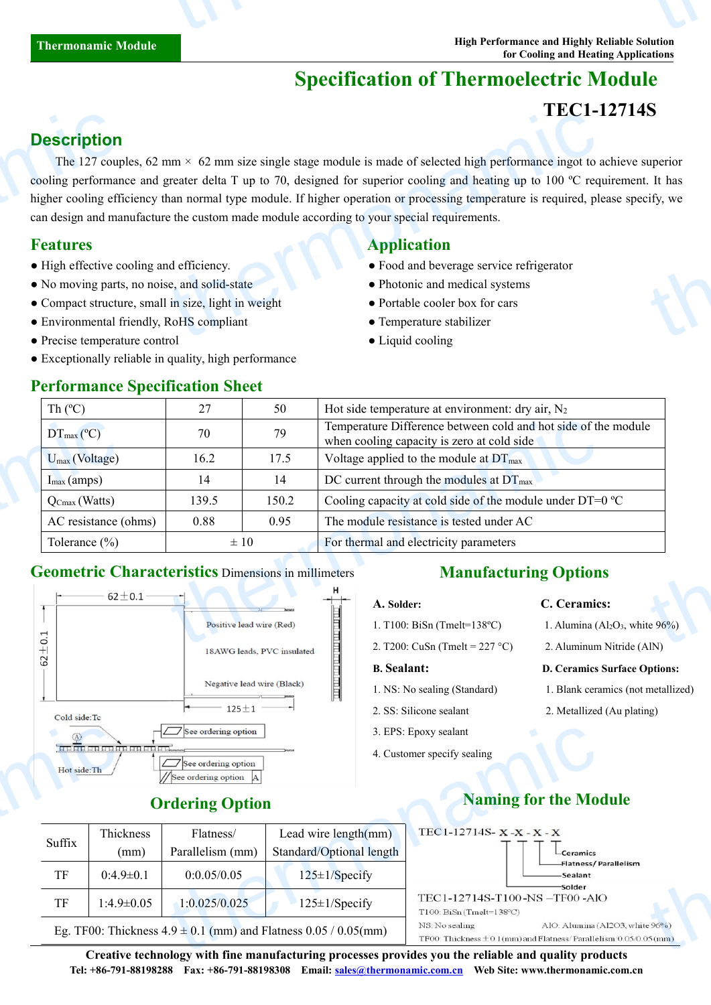# **Specification of Thermoelectric Module**

## **TEC1-12714S**

## **Description**

The 127 couples, 62 mm  $\times$  62 mm size single stage module is made of selected high performance ingot to achieve superior cooling performance and greater delta T up to 70, designed for superior cooling and heating up to 100  $^{\circ}$ C requirement. It has higher cooling efficiency than normal type module. If higher operation or processing temperature is required, please specify, we can design and manufacture the custom made module according to yourspecial requirements. **Description**<br>The 127 coup<br>cooling performan<br>higher cooling effician design and ma<br>**Features**<br>• High effective co<br>• No moving parts<br>• Compact structu<br>• Environmental f  $\text{mm} \times 62 \text{ mm size single stage module is made of selected high performance ingot to a greater delta T up to 70, designed for superior cooling and heating up to 100 °C reqhan normal type module. If higher operation or processing temperature is required, pleet the custom made module according to your special requirements.\n\n**Application**\n\n**Application**\n\n**Problem**\n\n**Problem**\n\n**Problem**\n\n**Problem**\n\n**Problem**\n\n**Problem**\n\n**Problem**\n\n**Problem**\n\n**Problem**\n\n**Problem**\n\n**Problem**\n\n**Problem**\n\n**Problem**\n\n**Problem**\n\n**Problem**\n\n**Problem**$ thermon<br>thermonal script, we<br>thermonal script of the script of the script of the script of the script of the script of the script of the script of the script of the script of the script of the script of the script of the s

### **Features Application**

- High effective cooling and efficiency. Food and beverage service refrigerator
- No moving parts, no noise, and solid-state Photonic and medical systems
- Compact structure, small in size, light in weight Portable cooler box for cars
- Environmental friendly, RoHS compliant Temperature stabilizer
- Precise temperature control Liquid cooling
- Exceptionally reliable in quality, high performance

| Th $(C)$                                                                 | 27       | 50                       | Hot side temperature at environment: dry air, $N_2$                                                             |  |  |
|--------------------------------------------------------------------------|----------|--------------------------|-----------------------------------------------------------------------------------------------------------------|--|--|
| $DT_{\text{max}}(^{\circ}C)$                                             | 70       | 79                       | Temperature Difference between cold and hot side of the module<br>when cooling capacity is zero at cold side    |  |  |
| $U_{max}$ (Voltage)                                                      | 16.2     | 17.5                     | Voltage applied to the module at $DT_{\text{max}}$                                                              |  |  |
| $I_{\text{max}}$ (amps)                                                  | 14       | 14                       | DC current through the modules at $DT_{\text{max}}$                                                             |  |  |
| $\overline{Q}_{\text{Cmax}}(\text{Watts})$                               | 139.5    | 150.2                    | Cooling capacity at cold side of the module under $DT=0$ °C                                                     |  |  |
| AC resistance (ohms)                                                     | 0.88     | 0.95                     | The module resistance is tested under AC                                                                        |  |  |
| Tolerance $(\% )$                                                        | $\pm 10$ |                          | For thermal and electricity parameters                                                                          |  |  |
| <b>Geometric Characteristics Dimensions in millimeters</b><br>$62 + 0.1$ |          |                          | <b>Manufacturing Options</b>                                                                                    |  |  |
|                                                                          |          | Positive lead wire (Red) | C. Ceramics:<br>A. Solder:<br>1. Alumina ( $Al_2O_3$ , white $96\%$ )<br>1. T100: BiSn (Tmelt= $138^{\circ}$ C) |  |  |
|                                                                          |          |                          | $2.7200 \cdot C_2S_2$ (Tmalt = 227.80)<br>$2.4$ luminum Nitrida (AIN)                                           |  |  |

### **Geometric Characteristics** Dimensions in millimeters



### **Ordering Option**

| $\omega$     |                                | 7 See ordering option                      |                                                                     | 3. EPS: Epoxy sealant                                                                                                      |  |
|--------------|--------------------------------|--------------------------------------------|---------------------------------------------------------------------|----------------------------------------------------------------------------------------------------------------------------|--|
| Hot side: Th | Taelarista den landen landen M | See ordering option<br>See ordering option | 4. Customer specify sealing                                         |                                                                                                                            |  |
|              |                                | <b>Ordering Option</b>                     |                                                                     | <b>Naming for the Module</b>                                                                                               |  |
| Suffix       | Thickness<br>(mm)              | Flatness/<br>Parallelism (mm)              | Lead wire $length(mm)$<br>Standard/Optional length                  | TEC1-12714S-X-X-X-X<br>$\mathsf{\mathsf{L}}$ Ceramics                                                                      |  |
| TF           | $0:4.9 \pm 0.1$                | 0:0.05/0.05                                | $125 \pm 1$ /Specify                                                | -Flatness/Parallelism<br>-Sealant<br>-Solder                                                                               |  |
| TF           | $1:4.9\pm0.05$                 | 1:0.025/0.025                              | $125 \pm 1$ /Specify                                                | TEC1-12714S-T100-NS-TF00-AlO<br>$T100$ : BiSn(Tmelt=138°C)                                                                 |  |
|              |                                |                                            | Eg. TF00: Thickness $4.9 \pm 0.1$ (mm) and Flatness 0.05 / 0.05(mm) | AlO: Alumina (Al2O3, white 96%)<br>NS: No sealing<br>TF00: Thickness $\pm$ 0.1(mm) and Flatness/Parallelism: 0.05/0.05(mm) |  |

### **Manufacturing Options**

- 
- 2. T200: CuSn (Tmelt =  $227 \text{ °C}$ ) 2. Aluminum Nitride (AlN)

- 
- 
- 3. EPS: Epoxy sealant
- 4. Customer specify sealing

### **A. Solder: C. Ceramics:**

- 1. T100: BiSn (Tmelt=138°C) 1. Alumina (Al<sub>2</sub>O<sub>3</sub>, white  $96\%$ )
	-

### **B. Sealant: D. Ceramics Surface Options:**

- 1. NS: No sealing (Standard) 1. Blank ceramics (not metallized)
- 2. SS: Silicone sealant 2. Metallized (Au plating)
	- TEC1-12714S- $X-X-X-X$  $\frac{1}{25(mm)}$

**Creative technology with fine manufacturing processes provides you the reliable and quality products Tel: +86-791-88198288 Fax: +86-791-88198308 Email: sales@thermonamic.com.cn Web Site: www.thermonamic.com.cn**

### **Naming for the Module**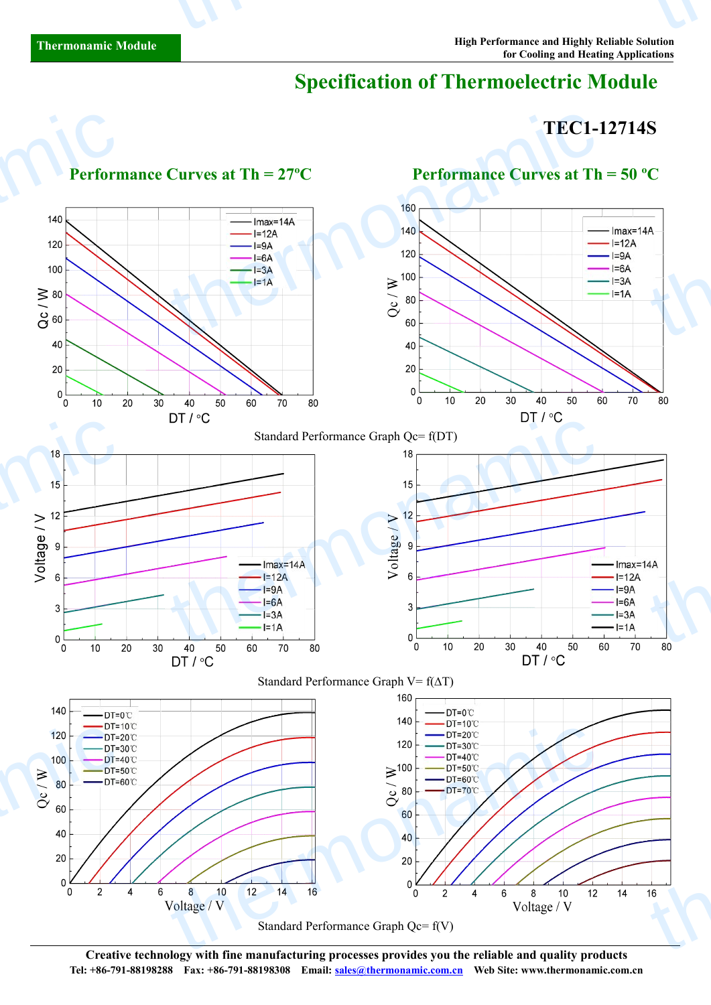# **Specification of Thermoelectric Module**

## **TEC1-12714S**



**Creative technology with fine manufacturing processes provides you the reliable and quality products Tel: +86-791-88198288 Fax: +86-791-88198308 Email: sales@thermonamic.com.cn Web Site: www.thermonamic.com.cn**